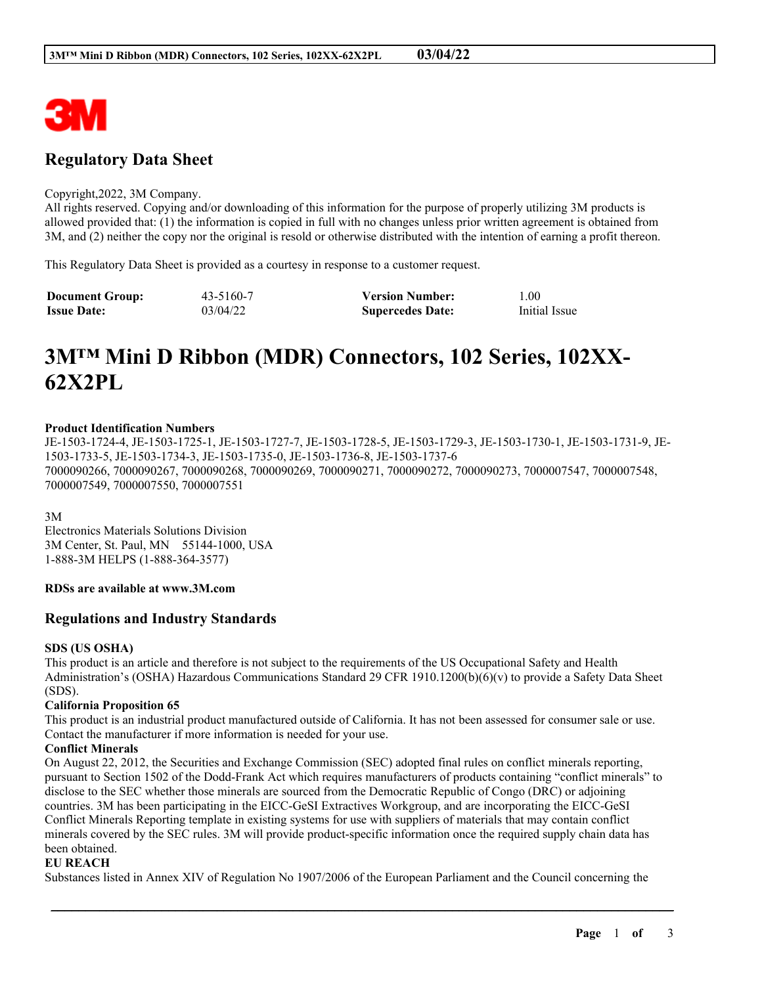

# **Regulatory Data Sheet**

#### Copyright,2022, 3M Company.

All rights reserved. Copying and/or downloading of this information for the purpose of properly utilizing 3M products is allowed provided that: (1) the information is copied in full with no changes unless prior written agreement is obtained from 3M, and (2) neither the copy nor the original is resold or otherwise distributed with the intention of earning a profit thereon.

This Regulatory Data Sheet is provided as a courtesy in response to a customer request.

| <b>Document Group:</b> | 43-5160-7 | <b>Version Number:</b>  | 1.00          |
|------------------------|-----------|-------------------------|---------------|
| <b>Issue Date:</b>     | 03/04/22  | <b>Supercedes Date:</b> | Initial Issue |

# **3M™ Mini D Ribbon (MDR) Connectors, 102 Series, 102XX-62X2PL**

#### **Product Identification Numbers**

JE-1503-1724-4, JE-1503-1725-1, JE-1503-1727-7, JE-1503-1728-5, JE-1503-1729-3, JE-1503-1730-1, JE-1503-1731-9, JE-1503-1733-5, JE-1503-1734-3, JE-1503-1735-0, JE-1503-1736-8, JE-1503-1737-6 7000090266, 7000090267, 7000090268, 7000090269, 7000090271, 7000090272, 7000090273, 7000007547, 7000007548, 7000007549, 7000007550, 7000007551

3M

Electronics Materials Solutions Division 3M Center, St. Paul, MN 55144-1000, USA 1-888-3M HELPS (1-888-364-3577)

# **RDSs are available at www.3M.com**

# **Regulations and Industry Standards**

#### **SDS (US OSHA)**

This product is an article and therefore is not subject to the requirements of the US Occupational Safety and Health Administration's (OSHA) Hazardous Communications Standard 29 CFR 1910.1200(b)(6)(v) to provide a Safety Data Sheet (SDS).

#### **California Proposition 65**

This product is an industrial product manufactured outside of California. It has not been assessed for consumer sale or use. Contact the manufacturer if more information is needed for your use.

#### **Conflict Minerals**

On August 22, 2012, the Securities and Exchange Commission (SEC) adopted final rules on conflict minerals reporting, pursuant to Section 1502 of the Dodd-Frank Act which requires manufacturers of products containing "conflict minerals" to disclose to the SEC whether those minerals are sourced from the Democratic Republic of Congo (DRC) or adjoining countries. 3M has been participating in the EICC-GeSI Extractives Workgroup, and are incorporating the EICC-GeSI Conflict Minerals Reporting template in existing systems for use with suppliers of materials that may contain conflict minerals covered by the SEC rules. 3M will provide product-specific information once the required supply chain data has been obtained.

#### **EU REACH**

Substances listed in Annex XIV of Regulation No 1907/2006 of the European Parliament and the Council concerning the

\_\_\_\_\_\_\_\_\_\_\_\_\_\_\_\_\_\_\_\_\_\_\_\_\_\_\_\_\_\_\_\_\_\_\_\_\_\_\_\_\_\_\_\_\_\_\_\_\_\_\_\_\_\_\_\_\_\_\_\_\_\_\_\_\_\_\_\_\_\_\_\_\_\_\_\_\_\_\_\_\_\_\_\_\_\_\_\_\_\_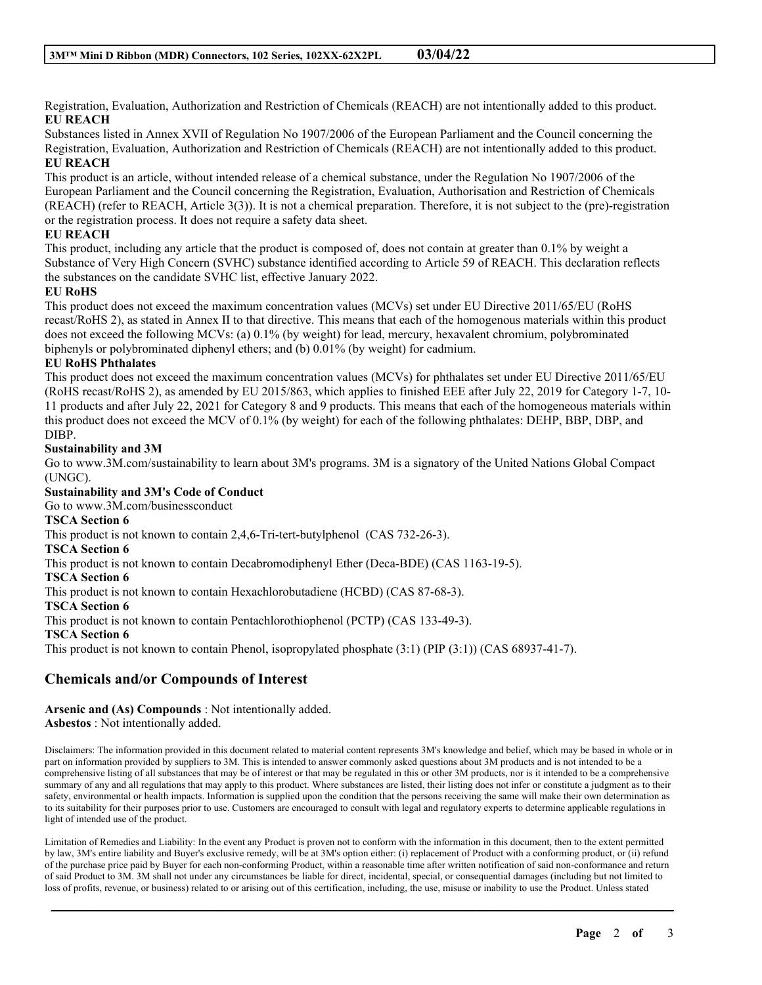Registration, Evaluation, Authorization and Restriction of Chemicals (REACH) are not intentionally added to this product. **EU REACH**

Substances listed in Annex XVII of Regulation No 1907/2006 of the European Parliament and the Council concerning the Registration, Evaluation, Authorization and Restriction of Chemicals (REACH) are not intentionally added to this product. **EU REACH**

This product is an article, without intended release of a chemical substance, under the Regulation No 1907/2006 of the European Parliament and the Council concerning the Registration, Evaluation, Authorisation and Restriction of Chemicals (REACH) (refer to REACH, Article 3(3)). It is not a chemical preparation. Therefore, it is not subject to the (pre)-registration or the registration process. It does not require a safety data sheet.

# **EU REACH**

This product, including any article that the product is composed of, does not contain at greater than 0.1% by weight a Substance of Very High Concern (SVHC) substance identified according to Article 59 of REACH. This declaration reflects the substances on the candidate SVHC list, effective January 2022.

# **EU RoHS**

This product does not exceed the maximum concentration values (MCVs) set under EU Directive 2011/65/EU (RoHS recast/RoHS 2), as stated in Annex II to that directive. This means that each of the homogenous materials within this product does not exceed the following MCVs: (a) 0.1% (by weight) for lead, mercury, hexavalent chromium, polybrominated biphenyls or polybrominated diphenyl ethers; and (b) 0.01% (by weight) for cadmium.

# **EU RoHS Phthalates**

This product does not exceed the maximum concentration values (MCVs) for phthalates set under EU Directive 2011/65/EU (RoHS recast/RoHS 2), as amended by EU 2015/863, which applies to finished EEE after July 22, 2019 for Category 1-7, 10- 11 products and after July 22, 2021 for Category 8 and 9 products. This means that each of the homogeneous materials within this product does not exceed the MCV of 0.1% (by weight) for each of the following phthalates: DEHP, BBP, DBP, and DIBP.

# **Sustainability and 3M**

Go to www.3M.com/sustainability to learn about 3M's programs. 3M is a signatory of the United Nations Global Compact (UNGC).

**Sustainability and 3M's Code of Conduct**

Go to www.3M.com/businessconduct

**TSCA Section 6**

This product is not known to contain 2,4,6-Tri-tert-butylphenol (CAS 732-26-3).

**TSCA Section 6**

This product is not known to contain Decabromodiphenyl Ether (Deca-BDE) (CAS 1163-19-5).

**TSCA Section 6**

This product is not known to contain Hexachlorobutadiene (HCBD) (CAS 87-68-3).

**TSCA Section 6**

This product is not known to contain Pentachlorothiophenol (PCTP) (CAS 133-49-3).

**TSCA Section 6**

This product is not known to contain Phenol, isopropylated phosphate (3:1) (PIP (3:1)) (CAS 68937-41-7).

# **Chemicals and/or Compounds of Interest**

**Arsenic and (As) Compounds** : Not intentionally added. **Asbestos** : Not intentionally added.

Disclaimers: The information provided in this document related to material content represents 3M's knowledge and belief, which may be based in whole or in part on information provided by suppliers to 3M. This is intended to answer commonly asked questions about 3M products and is not intended to be a comprehensive listing of all substances that may be of interest or that may be regulated in this or other 3M products, nor is it intended to be a comprehensive summary of any and all regulations that may apply to this product. Where substances are listed, their listing does not infer or constitute a judgment as to their safety, environmental or health impacts. Information is supplied upon the condition that the persons receiving the same will make their own determination as to its suitability for their purposes prior to use. Customers are encouraged to consult with legal and regulatory experts to determine applicable regulations in light of intended use of the product.

Limitation of Remedies and Liability: In the event any Product is proven not to conform with the information in this document, then to the extent permitted by law, 3M's entire liability and Buyer's exclusive remedy, will be at 3M's option either: (i) replacement of Product with a conforming product, or (ii) refund of the purchase price paid by Buyer for each non-conforming Product, within a reasonable time after written notification of said non-conformance and return of said Product to 3M. 3M shall not under any circumstances be liable for direct, incidental, special, or consequential damages (including but not limited to loss of profits, revenue, or business) related to or arising out of this certification, including, the use, misuse or inability to use the Product. Unless stated

\_\_\_\_\_\_\_\_\_\_\_\_\_\_\_\_\_\_\_\_\_\_\_\_\_\_\_\_\_\_\_\_\_\_\_\_\_\_\_\_\_\_\_\_\_\_\_\_\_\_\_\_\_\_\_\_\_\_\_\_\_\_\_\_\_\_\_\_\_\_\_\_\_\_\_\_\_\_\_\_\_\_\_\_\_\_\_\_\_\_